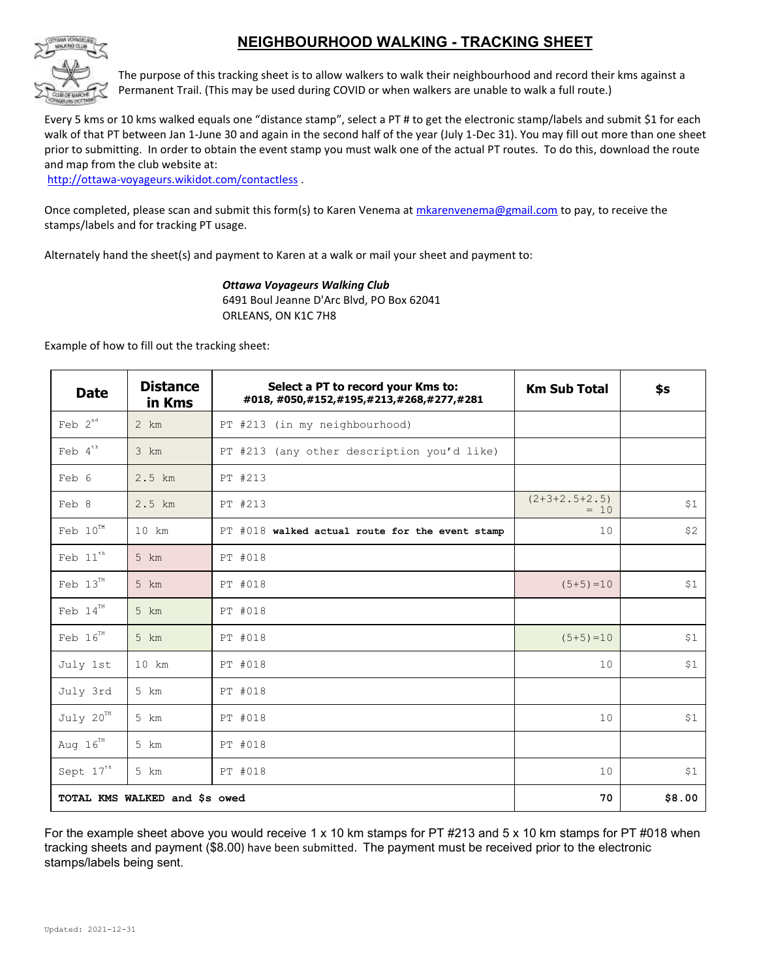## **NEIGHBOURHOOD WALKING - TRACKING SHEET**



The purpose of this tracking sheet is to allow walkers to walk their neighbourhood and record their kms against a Permanent Trail. (This may be used during COVID or when walkers are unable to walk a full route.)

Every 5 kms or 10 kms walked equals one "distance stamp", select a PT # to get the electronic stamp/labels and submit \$1 for each walk of that PT between Jan 1-June 30 and again in the second half of the year (July 1-Dec 31). You may fill out more than one sheet prior to submitting. In order to obtain the event stamp you must walk one of the actual PT routes. To do this, download the route and map from the club website at:

<http://ottawa-voyageurs.wikidot.com/contactless> .

Once completed, please scan and submit this form(s) to Karen Venema a[t mkarenvenema@gmail.com](mailto:mkarenvenema@gmail.com?subject=contactless%20registration) to pay, to receive the stamps/labels and for tracking PT usage.

Alternately hand the sheet(s) and payment to Karen at a walk or mail your sheet and payment to:

#### *Ottawa Voyageurs Walking Club*

6491 Boul Jeanne D'Arc Blvd, PO Box 62041 ORLEANS, ON K1C 7H8

Example of how to fill out the tracking sheet:

| <b>Date</b>                         | <b>Distance</b><br>in Kms | Select a PT to record your Kms to:<br>#018, #050, #152, #195, #213, #268, #277, #281 | <b>Km Sub Total</b>       | \$s    |
|-------------------------------------|---------------------------|--------------------------------------------------------------------------------------|---------------------------|--------|
| Feb $2^{nd}$                        | $2 \; km$                 | PT #213 (in my neighbourhood)                                                        |                           |        |
| Feb $4^{\mathrm{th}}$               | $3 \text{ km}$            | PT #213 (any other description you'd like)                                           |                           |        |
| Feb 6                               | 2.5 km                    | PT #213                                                                              |                           |        |
| Feb 8                               | $2.5$ km                  | PT #213                                                                              | $(2+3+2.5+2.5)$<br>$= 10$ | \$1    |
| Feb $10^{\scriptscriptstyle\rm TH}$ | $10 \text{ km}$           | $PT$ #018 walked actual route for the event stamp                                    | 10                        | \$2    |
| Feb $11^{\mathrm{th}}$              | $5 \text{ km}$            | PT #018                                                                              |                           |        |
| Feb $13^{\text{th}}$                | 5 km                      | PT #018                                                                              | $(5+5) = 10$              | \$1    |
| Feb $14^{\scriptscriptstyle\rm TH}$ | 5 km                      | PT #018                                                                              |                           |        |
| Feb $16^{TH}$                       | 5 km                      | PT #018                                                                              | $(5+5) = 10$              | \$1    |
| July 1st                            | $10 \text{ km}$           | PT #018                                                                              | 10                        | \$1    |
| July 3rd                            | 5 km                      | PT #018                                                                              |                           |        |
| July 20 <sup>TH</sup>               | 5 km                      | PT #018                                                                              | 10                        | \$1    |
| Aug $16^{TH}$                       | 5 km                      | PT #018                                                                              |                           |        |
| Sept $17^{th}$                      | 5 km                      | PT #018                                                                              | 10                        | \$1    |
| TOTAL KMS WALKED and \$s owed       |                           |                                                                                      | 70                        | \$8.00 |

For the example sheet above you would receive 1 x 10 km stamps for PT #213 and 5 x 10 km stamps for PT #018 when tracking sheets and payment (\$8.00) have been submitted. The payment must be received prior to the electronic stamps/labels being sent.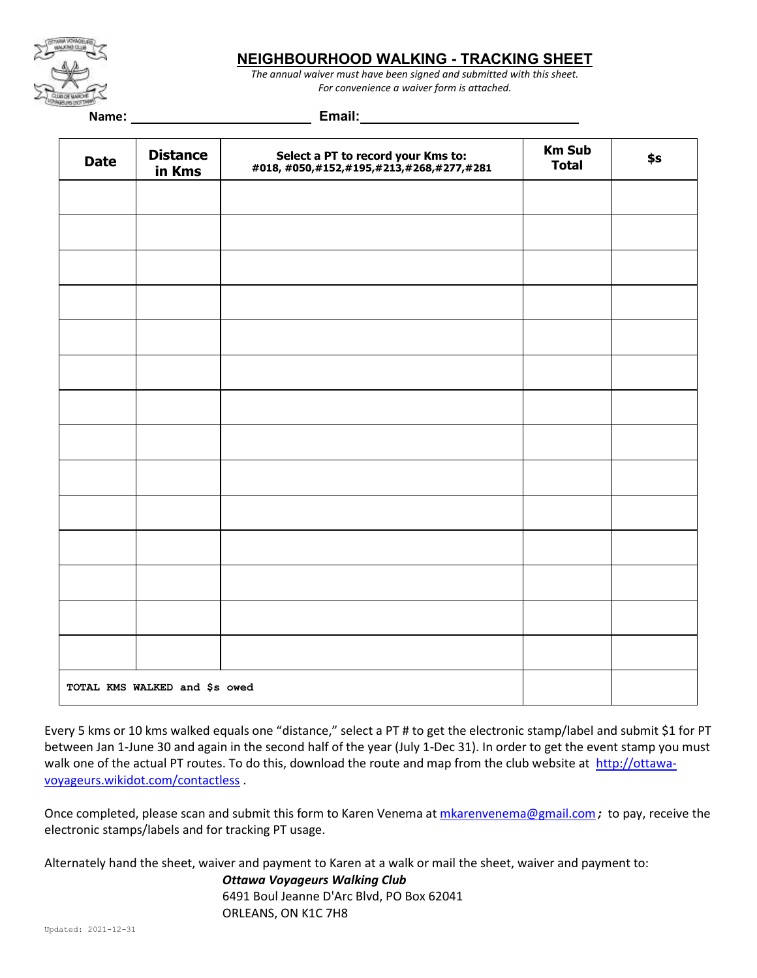

### **NEIGHBOURHOOD WALKING - TRACKING SHEET**

*The annual waiver must have been signed and submitted with this sheet. For convenience a waiver form is attached.*

**Name: Email:** 

| <b>Date</b>                   | <b>Distance</b><br>in Kms | Select a PT to record your Kms to:<br>#018, #050, #152, #195, #213, #268, #277, #281 | <b>Km Sub</b><br><b>Total</b> | \$s |  |
|-------------------------------|---------------------------|--------------------------------------------------------------------------------------|-------------------------------|-----|--|
|                               |                           |                                                                                      |                               |     |  |
|                               |                           |                                                                                      |                               |     |  |
|                               |                           |                                                                                      |                               |     |  |
|                               |                           |                                                                                      |                               |     |  |
|                               |                           |                                                                                      |                               |     |  |
|                               |                           |                                                                                      |                               |     |  |
|                               |                           |                                                                                      |                               |     |  |
|                               |                           |                                                                                      |                               |     |  |
|                               |                           |                                                                                      |                               |     |  |
|                               |                           |                                                                                      |                               |     |  |
|                               |                           |                                                                                      |                               |     |  |
|                               |                           |                                                                                      |                               |     |  |
|                               |                           |                                                                                      |                               |     |  |
|                               |                           |                                                                                      |                               |     |  |
| TOTAL KMS WALKED and \$s owed |                           |                                                                                      |                               |     |  |

Every 5 kms or 10 kms walked equals one "distance," select a PT # to get the electronic stamp/label and submit \$1 for PT between Jan 1-June 30 and again in the second half of the year (July 1-Dec 31). In order to get the event stamp you must walk one of the actual PT routes. To do this, download the route and map from the club website at [http://ottawa](http://ottawa-voyageurs.wikidot.com/contactless)[voyageurs.wikidot.com/contactless](http://ottawa-voyageurs.wikidot.com/contactless) .

Once completed, please scan and submit this form to Karen Venema at [mkarenvenema@gmail.com](mailto:mkarenvenema@gmail.com?subject=contactless%20registration); to pay, receive the electronic stamps/labels and for tracking PT usage.

Alternately hand the sheet, waiver and payment to Karen at a walk or mail the sheet, waiver and payment to:

*Ottawa Voyageurs Walking Club* 6491 Boul Jeanne D'Arc Blvd, PO Box 62041 ORLEANS, ON K1C 7H8